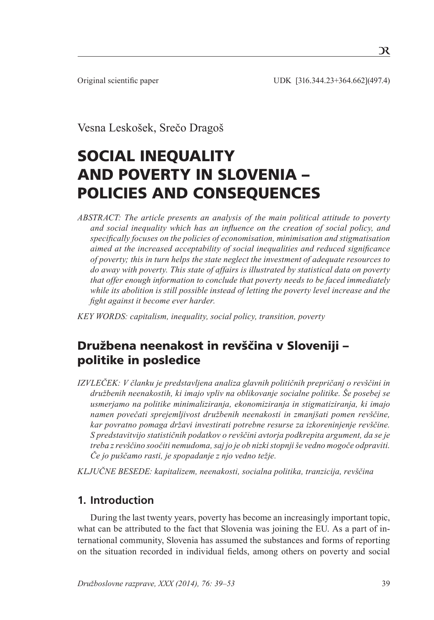Original scientific paper UDK [316.344.23+364.662](497.4)

Vesna Leskošek, Srečo Dragoš

# SOCIAL INEQUALITY AND POVERTY IN SLOVENIA – POLICIES AND CONSEQUENCES

*ABSTRACT: The article presents an analysis of the main political attitude to poverty and social inequality which has an influence on the creation of social policy, and specifically focuses on the policies of economisation, minimisation and stigmatisation aimed at the increased acceptability of social inequalities and reduced significance of poverty; this in turn helps the state neglect the investment of adequate resources to do away with poverty. This state of affairs is illustrated by statistical data on poverty that offer enough information to conclude that poverty needs to be faced immediately while its abolition is still possible instead of letting the poverty level increase and the fight against it become ever harder.* 

*Key words: capitalism, inequality, social policy, transition, poverty*

# Družbena neenakost in revščina v Sloveniji – politike in posledice

*IZVLEČEK: V članku je predstavljena analiza glavnih političnih prepričanj o revščini in družbenih neenakostih, ki imajo vpliv na oblikovanje socialne politike. Še posebej se usmerjamo na politike minimaliziranja, ekonomiziranja in stigmatiziranja, ki imajo namen povečati sprejemljivost družbenih neenakosti in zmanjšati pomen revščine, kar povratno pomaga državi investirati potrebne resurse za izkoreninjenje revščine. S predstavitvijo statističnih podatkov o revščini avtorja podkrepita argument, da se je treba z revščino soočiti nemudoma, saj jo je ob nizki stopnji še vedno mogoče odpraviti. Če jo puščamo rasti, je spopadanje z njo vedno težje.* 

*Ključne besede: kapitalizem, neenakosti, socialna politika, tranzicija, revščina*

## **1. Introduction**

During the last twenty years, poverty has become an increasingly important topic, what can be attributed to the fact that Slovenia was joining the EU. As a part of international community, Slovenia has assumed the substances and forms of reporting on the situation recorded in individual fields, among others on poverty and social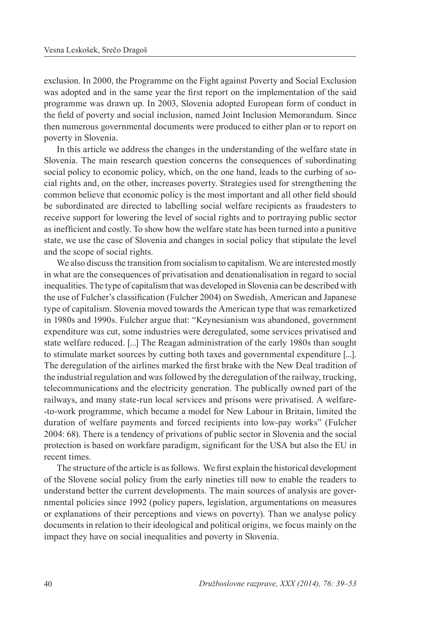exclusion. In 2000, the Programme on the Fight against Poverty and Social Exclusion was adopted and in the same year the first report on the implementation of the said programme was drawn up. In 2003, Slovenia adopted European form of conduct in the field of poverty and social inclusion, named Joint Inclusion Memorandum. Since then numerous governmental documents were produced to either plan or to report on poverty in Slovenia.

In this article we address the changes in the understanding of the welfare state in Slovenia. The main research question concerns the consequences of subordinating social policy to economic policy, which, on the one hand, leads to the curbing of social rights and, on the other, increases poverty. Strategies used for strengthening the common believe that economic policy is the most important and all other field should be subordinated are directed to labelling social welfare recipients as fraudesters to receive support for lowering the level of social rights and to portraying public sector as inefficient and costly. To show how the welfare state has been turned into a punitive state, we use the case of Slovenia and changes in social policy that stipulate the level and the scope of social rights.

We also discuss the transition from socialism to capitalism. We are interested mostly in what are the consequences of privatisation and denationalisation in regard to social inequalities. The type of capitalism that was developed in Slovenia can be described with the use of Fulcher's classification (Fulcher 2004) on Swedish, American and Japanese type of capitalism. Slovenia moved towards the American type that was remarketized in 1980s and 1990s. Fulcher argue that: "Keynesianism was abandoned, government expenditure was cut, some industries were deregulated, some services privatised and state welfare reduced. [...] The Reagan administration of the early 1980s than sought to stimulate market sources by cutting both taxes and governmental expenditure [...]. The deregulation of the airlines marked the first brake with the New Deal tradition of the industrial regulation and was followed by the deregulation of the railway, trucking, telecommunications and the electricity generation. The publically owned part of the railways, and many state-run local services and prisons were privatised. A welfare- -to-work programme, which became a model for New Labour in Britain, limited the duration of welfare payments and forced recipients into low-pay works" (Fulcher 2004: 68). There is a tendency of privations of public sector in Slovenia and the social protection is based on workfare paradigm, significant for the USA but also the EU in recent times.

The structure of the article is as follows. We first explain the historical development of the Slovene social policy from the early nineties till now to enable the readers to understand better the current developments. The main sources of analysis are governmental policies since 1992 (policy papers, legislation, argumentations on measures or explanations of their perceptions and views on poverty). Than we analyse policy documents in relation to their ideological and political origins, we focus mainly on the impact they have on social inequalities and poverty in Slovenia.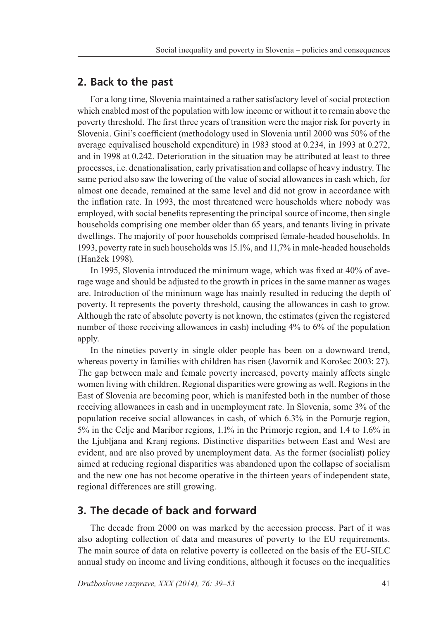#### **2. Back to the past**

For a long time, Slovenia maintained a rather satisfactory level of social protection which enabled most of the population with low income or without it to remain above the poverty threshold. The first three years of transition were the major risk for poverty in Slovenia. Gini's coefficient (methodology used in Slovenia until 2000 was 50% of the average equivalised household expenditure) in 1983 stood at 0.234, in 1993 at 0.272, and in 1998 at 0.242. Deterioration in the situation may be attributed at least to three processes, i.e. denationalisation, early privatisation and collapse of heavy industry. The same period also saw the lowering of the value of social allowances in cash which, for almost one decade, remained at the same level and did not grow in accordance with the inflation rate. In 1993, the most threatened were households where nobody was employed, with social benefits representing the principal source of income, then single households comprising one member older than 65 years, and tenants living in private dwellings. The majority of poor households comprised female-headed households. In 1993, poverty rate in such households was 15.1%, and 11,7% in male-headed households (Hanžek 1998).

In 1995, Slovenia introduced the minimum wage, which was fixed at 40% of average wage and should be adjusted to the growth in prices in the same manner as wages are. Introduction of the minimum wage has mainly resulted in reducing the depth of poverty. It represents the poverty threshold, causing the allowances in cash to grow. Although the rate of absolute poverty is not known, the estimates (given the registered number of those receiving allowances in cash) including 4% to 6% of the population apply.

In the nineties poverty in single older people has been on a downward trend, whereas poverty in families with children has risen (Javornik and Korošec 2003: 27). The gap between male and female poverty increased, poverty mainly affects single women living with children. Regional disparities were growing as well. Regions in the East of Slovenia are becoming poor, which is manifested both in the number of those receiving allowances in cash and in unemployment rate. In Slovenia, some 3% of the population receive social allowances in cash, of which 6.3% in the Pomurje region, 5% in the Celje and Maribor regions, 1.1% in the Primorje region, and 1.4 to 1.6% in the Ljubljana and Kranj regions. Distinctive disparities between East and West are evident, and are also proved by unemployment data. As the former (socialist) policy aimed at reducing regional disparities was abandoned upon the collapse of socialism and the new one has not become operative in the thirteen years of independent state, regional differences are still growing.

## **3. The decade of back and forward**

The decade from 2000 on was marked by the accession process. Part of it was also adopting collection of data and measures of poverty to the EU requirements. The main source of data on relative poverty is collected on the basis of the EU-SILC annual study on income and living conditions, although it focuses on the inequalities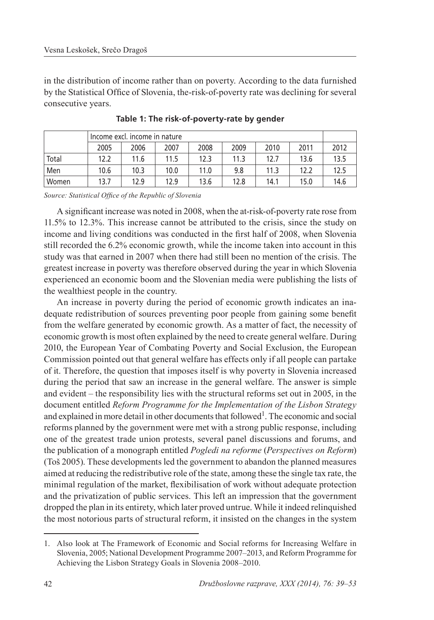in the distribution of income rather than on poverty. According to the data furnished by the Statistical Office of Slovenia, the-risk-of-poverty rate was declining for several consecutive years.

|       | Income excl. income in nature |      |      |      |      |      |      |      |  |
|-------|-------------------------------|------|------|------|------|------|------|------|--|
|       | 2005                          | 2006 | 2007 | 2008 | 2009 | 2010 | 2011 | 2012 |  |
| Total | 12.2                          | 11.6 | 11.5 | 12.3 | 11.3 | 12.7 | 13.6 | 13.5 |  |
| Men   | 10.6                          | 10.3 | 10.0 | 11.0 | 9.8  | 11.3 | 12.2 | 12.5 |  |
| Women | 13.7                          | 12.9 | 12.9 | 13.6 | 12.8 | 14.1 | 15.0 | 14.6 |  |

**Table 1: The risk-of-poverty-rate by gender**

*Source: Statistical Office of the Republic of Slovenia*

A significant increase was noted in 2008, when the at-risk-of-poverty rate rose from 11.5% to 12.3%. This increase cannot be attributed to the crisis, since the study on income and living conditions was conducted in the first half of 2008, when Slovenia still recorded the 6.2% economic growth, while the income taken into account in this study was that earned in 2007 when there had still been no mention of the crisis. The greatest increase in poverty was therefore observed during the year in which Slovenia experienced an economic boom and the Slovenian media were publishing the lists of the wealthiest people in the country.

An increase in poverty during the period of economic growth indicates an inadequate redistribution of sources preventing poor people from gaining some benefit from the welfare generated by economic growth. As a matter of fact, the necessity of economic growth is most often explained by the need to create general welfare. During 2010, the European Year of Combating Poverty and Social Exclusion, the European Commission pointed out that general welfare has effects only if all people can partake of it. Therefore, the question that imposes itself is why poverty in Slovenia increased during the period that saw an increase in the general welfare. The answer is simple and evident – the responsibility lies with the structural reforms set out in 2005, in the document entitled *Reform Programme for the Implementation of the Lisbon Strategy* and explained in more detail in other documents that followed<sup>1</sup>. The economic and social reforms planned by the government were met with a strong public response, including one of the greatest trade union protests, several panel discussions and forums, and the publication of a monograph entitled *Pogledi na reforme* (*Perspectives on Reform*) (Toš 2005). These developments led the government to abandon the planned measures aimed at reducing the redistributive role of the state, among these the single tax rate, the minimal regulation of the market, flexibilisation of work without adequate protection and the privatization of public services. This left an impression that the government dropped the plan in its entirety, which later proved untrue. While it indeed relinquished the most notorious parts of structural reform, it insisted on the changes in the system

<sup>1.</sup> Also look at The Framework of Economic and Social reforms for Increasing Welfare in Slovenia, 2005; National Development Programme 2007–2013, and Reform Programme for Achieving the Lisbon Strategy Goals in Slovenia 2008–2010.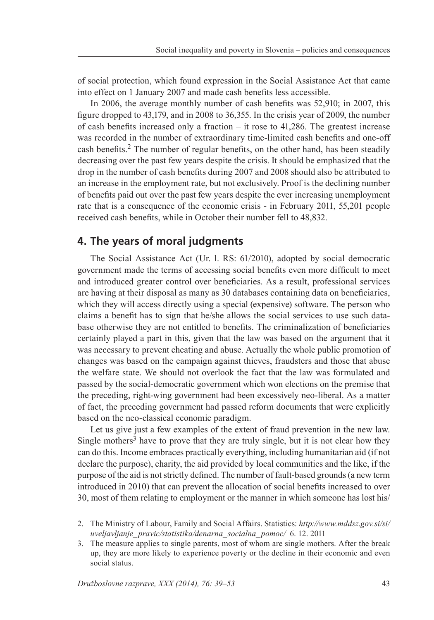of social protection, which found expression in the Social Assistance Act that came into effect on 1 January 2007 and made cash benefits less accessible.

In 2006, the average monthly number of cash benefits was 52,910; in 2007, this figure dropped to 43,179, and in 2008 to 36,355. In the crisis year of 2009, the number of cash benefits increased only a fraction – it rose to 41,286. The greatest increase was recorded in the number of extraordinary time-limited cash benefits and one-off cash benefits.2 The number of regular benefits, on the other hand, has been steadily decreasing over the past few years despite the crisis. It should be emphasized that the drop in the number of cash benefits during 2007 and 2008 should also be attributed to an increase in the employment rate, but not exclusively. Proof is the declining number of benefits paid out over the past few years despite the ever increasing unemployment rate that is a consequence of the economic crisis - in February 2011, 55,201 people received cash benefits, while in October their number fell to 48,832.

## **4. The years of moral judgments**

The Social Assistance Act (Ur. l. RS: 61/2010), adopted by social democratic government made the terms of accessing social benefits even more difficult to meet and introduced greater control over beneficiaries. As a result, professional services are having at their disposal as many as 30 databases containing data on beneficiaries, which they will access directly using a special (expensive) software. The person who claims a benefit has to sign that he/she allows the social services to use such database otherwise they are not entitled to benefits. The criminalization of beneficiaries certainly played a part in this, given that the law was based on the argument that it was necessary to prevent cheating and abuse. Actually the whole public promotion of changes was based on the campaign against thieves, fraudsters and those that abuse the welfare state. We should not overlook the fact that the law was formulated and passed by the social-democratic government which won elections on the premise that the preceding, right-wing government had been excessively neo-liberal. As a matter of fact, the preceding government had passed reform documents that were explicitly based on the neo-classical economic paradigm.

Let us give just a few examples of the extent of fraud prevention in the new law. Single mothers<sup>3</sup> have to prove that they are truly single, but it is not clear how they can do this. Income embraces practically everything, including humanitarian aid (if not declare the purpose), charity, the aid provided by local communities and the like, if the purpose of the aid is not strictly defined. The number of fault-based grounds (a new term introduced in 2010) that can prevent the allocation of social benefits increased to over 30, most of them relating to employment or the manner in which someone has lost his/

<sup>2.</sup> The Ministry of Labour, Family and Social Affairs. Statistics: *http://www.mddsz.gov.si/si/ uveljavljanje\_ pravic/statistika/denarna\_socialna\_ pomoc/* 6. 12. 2011

<sup>3</sup>. The measure applies to single parents, most of whom are single mothers. After the break up, they are more likely to experience poverty or the decline in their economic and even social status.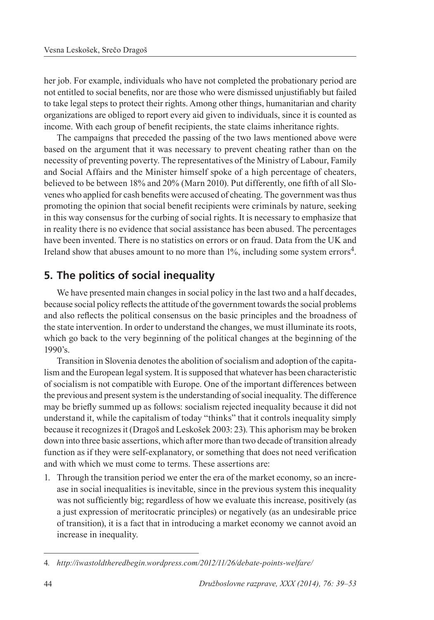her job. For example, individuals who have not completed the probationary period are not entitled to social benefits, nor are those who were dismissed unjustifiably but failed to take legal steps to protect their rights. Among other things, humanitarian and charity organizations are obliged to report every aid given to individuals, since it is counted as income. With each group of benefit recipients, the state claims inheritance rights.

The campaigns that preceded the passing of the two laws mentioned above were based on the argument that it was necessary to prevent cheating rather than on the necessity of preventing poverty. The representatives of the Ministry of Labour, Family and Social Affairs and the Minister himself spoke of a high percentage of cheaters, believed to be between 18% and 20% (Marn 2010). Put differently, one fifth of all Slovenes who applied for cash benefits were accused of cheating. The government was thus promoting the opinion that social benefit recipients were criminals by nature, seeking in this way consensus for the curbing of social rights. It is necessary to emphasize that in reality there is no evidence that social assistance has been abused. The percentages have been invented. There is no statistics on errors or on fraud. Data from the UK and Ireland show that abuses amount to no more than 1%, including some system errors<sup>4</sup>.

# **5. The politics of social inequality**

We have presented main changes in social policy in the last two and a half decades, because social policy reflects the attitude of the government towards the social problems and also reflects the political consensus on the basic principles and the broadness of the state intervention. In order to understand the changes, we must illuminate its roots, which go back to the very beginning of the political changes at the beginning of the 1990's.

Transition in Slovenia denotes the abolition of socialism and adoption of the capitalism and the European legal system. It is supposed that whatever has been characteristic of socialism is not compatible with Europe. One of the important differences between the previous and present system is the understanding of social inequality. The difference may be briefly summed up as follows: socialism rejected inequality because it did not understand it, while the capitalism of today "thinks" that it controls inequality simply because it recognizes it (Dragoš and Leskošek 2003: 23). This aphorism may be broken down into three basic assertions, which after more than two decade of transition already function as if they were self-explanatory, or something that does not need verification and with which we must come to terms. These assertions are:

1. Through the transition period we enter the era of the market economy, so an increase in social inequalities is inevitable, since in the previous system this inequality was not sufficiently big; regardless of how we evaluate this increase, positively (as a just expression of meritocratic principles) or negatively (as an undesirable price of transition), it is a fact that in introducing a market economy we cannot avoid an increase in inequality.

<sup>4</sup>*. http://iwastoldtheredbegin.wordpress.com/2012/11/26/debate-points-welfare/*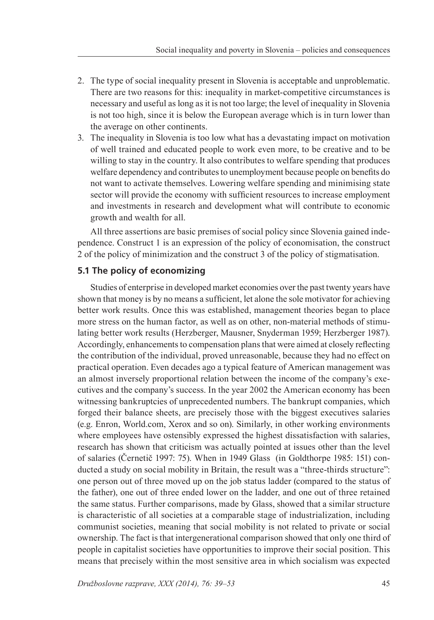- 2. The type of social inequality present in Slovenia is acceptable and unproblematic. There are two reasons for this: inequality in market-competitive circumstances is necessary and useful as long as it is not too large; the level of inequality in Slovenia is not too high, since it is below the European average which is in turn lower than the average on other continents.
- 3. The inequality in Slovenia is too low what has a devastating impact on motivation of well trained and educated people to work even more, to be creative and to be willing to stay in the country. It also contributes to welfare spending that produces welfare dependency and contributes to unemployment because people on benefits do not want to activate themselves. Lowering welfare spending and minimising state sector will provide the economy with sufficient resources to increase employment and investments in research and development what will contribute to economic growth and wealth for all.

All three assertions are basic premises of social policy since Slovenia gained independence. Construct 1 is an expression of the policy of economisation, the construct 2 of the policy of minimization and the construct 3 of the policy of stigmatisation.

#### **5.1 The policy of economizing**

Studies of enterprise in developed market economies over the past twenty years have shown that money is by no means a sufficient, let alone the sole motivator for achieving better work results. Once this was established, management theories began to place more stress on the human factor, as well as on other, non-material methods of stimulating better work results (Herzberger, Mausner, Snyderman 1959; Herzberger 1987). Accordingly, enhancements to compensation plans that were aimed at closely reflecting the contribution of the individual, proved unreasonable, because they had no effect on practical operation. Even decades ago a typical feature of American management was an almost inversely proportional relation between the income of the company's executives and the company's success. In the year 2002 the American economy has been witnessing bankruptcies of unprecedented numbers. The bankrupt companies, which forged their balance sheets, are precisely those with the biggest executives salaries (e.g. Enron, World.com, Xerox and so on). Similarly, in other working environments where employees have ostensibly expressed the highest dissatisfaction with salaries, research has shown that criticism was actually pointed at issues other than the level of salaries (Černetič 1997: 75). When in 1949 Glass (in Goldthorpe 1985: 151) conducted a study on social mobility in Britain, the result was a "three-thirds structure": one person out of three moved up on the job status ladder (compared to the status of the father), one out of three ended lower on the ladder, and one out of three retained the same status. Further comparisons, made by Glass, showed that a similar structure is characteristic of all societies at a comparable stage of industrialization, including communist societies, meaning that social mobility is not related to private or social ownership. The fact is that intergenerational comparison showed that only one third of people in capitalist societies have opportunities to improve their social position. This means that precisely within the most sensitive area in which socialism was expected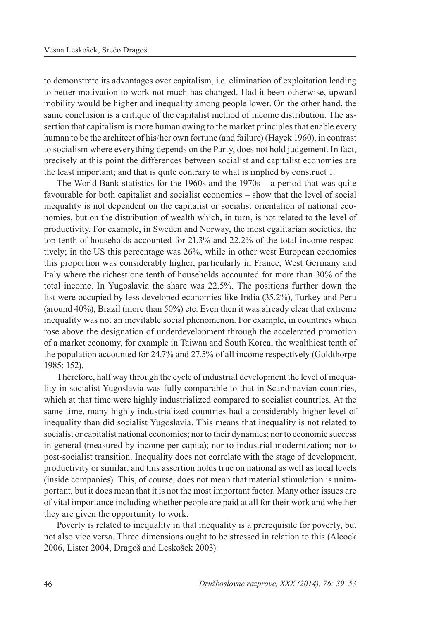to demonstrate its advantages over capitalism, i.e. elimination of exploitation leading to better motivation to work not much has changed. Had it been otherwise, upward mobility would be higher and inequality among people lower. On the other hand, the same conclusion is a critique of the capitalist method of income distribution. The assertion that capitalism is more human owing to the market principles that enable every human to be the architect of his/her own fortune (and failure) (Hayek 1960), in contrast to socialism where everything depends on the Party, does not hold judgement. In fact, precisely at this point the differences between socialist and capitalist economies are the least important; and that is quite contrary to what is implied by construct 1.

The World Bank statistics for the 1960s and the 1970s – a period that was quite favourable for both capitalist and socialist economies – show that the level of social inequality is not dependent on the capitalist or socialist orientation of national economies, but on the distribution of wealth which, in turn, is not related to the level of productivity. For example, in Sweden and Norway, the most egalitarian societies, the top tenth of households accounted for 21.3% and 22.2% of the total income respectively; in the US this percentage was 26%, while in other west European economies this proportion was considerably higher, particularly in France, West Germany and Italy where the richest one tenth of households accounted for more than 30% of the total income. In Yugoslavia the share was 22.5%. The positions further down the list were occupied by less developed economies like India (35.2%), Turkey and Peru (around 40%), Brazil (more than 50%) etc. Even then it was already clear that extreme inequality was not an inevitable social phenomenon. For example, in countries which rose above the designation of underdevelopment through the accelerated promotion of a market economy, for example in Taiwan and South Korea, the wealthiest tenth of the population accounted for 24.7% and 27.5% of all income respectively (Goldthorpe 1985: 152).

Therefore, half way through the cycle of industrial development the level of inequality in socialist Yugoslavia was fully comparable to that in Scandinavian countries, which at that time were highly industrialized compared to socialist countries. At the same time, many highly industrialized countries had a considerably higher level of inequality than did socialist Yugoslavia. This means that inequality is not related to socialist or capitalist national economies; nor to their dynamics; nor to economic success in general (measured by income per capita); nor to industrial modernization; nor to post-socialist transition. Inequality does not correlate with the stage of development, productivity or similar, and this assertion holds true on national as well as local levels (inside companies). This, of course, does not mean that material stimulation is unimportant, but it does mean that it is not the most important factor. Many other issues are of vital importance including whether people are paid at all for their work and whether they are given the opportunity to work.

Poverty is related to inequality in that inequality is a prerequisite for poverty, but not also vice versa. Three dimensions ought to be stressed in relation to this (Alcock 2006, Lister 2004, Dragoš and Leskošek 2003):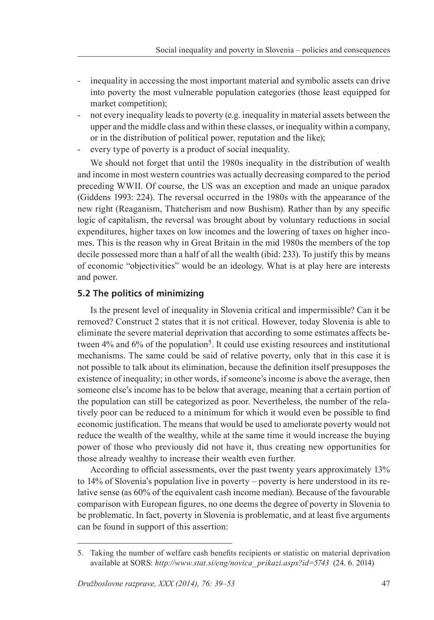- inequality in accessing the most important material and symbolic assets can drive into poverty the most vulnerable population categories (those least equipped for market competition);
- not every inequality leads to poverty (e.g. inequality in material assets between the upper and the middle class and within these classes, or inequality within a company, or in the distribution of political power, reputation and the like);
- every type of poverty is a product of social inequality.

We should not forget that until the 1980s inequality in the distribution of wealth and income in most western countries was actually decreasing compared to the period preceding WWII. Of course, the US was an exception and made an unique paradox (Giddens 1993: 224). The reversal occurred in the 1980s with the appearance of the new right (Reaganism, Thatcherism and now Bushism). Rather than by any specific logic of capitalism, the reversal was brought about by voluntary reductions in social expenditures, higher taxes on low incomes and the lowering of taxes on higher incomes. This is the reason why in Great Britain in the mid 1980s the members of the top decile possessed more than a half of all the wealth (ibid: 233). To justify this by means of economic "objectivities" would be an ideology. What is at play here are interests and power.

## **5.2 The politics of minimizing**

Is the present level of inequality in Slovenia critical and impermissible? Can it be removed? Construct 2 states that it is not critical. However, today Slovenia is able to eliminate the severe material deprivation that according to some estimates affects between  $4\%$  and  $6\%$  of the population<sup>5</sup>. It could use existing resources and institutional mechanisms. The same could be said of relative poverty, only that in this case it is not possible to talk about its elimination, because the definition itself presupposes the existence of inequality; in other words, if someone's income is above the average, then someone else's income has to be below that average, meaning that a certain portion of the population can still be categorized as poor. Nevertheless, the number of the relatively poor can be reduced to a minimum for which it would even be possible to find economic justification. The means that would be used to ameliorate poverty would not reduce the wealth of the wealthy, while at the same time it would increase the buying power of those who previously did not have it, thus creating new opportunities for those already wealthy to increase their wealth even further.

According to official assessments, over the past twenty years approximately 13% to 14% of Slovenia's population live in poverty – poverty is here understood in its relative sense (as 60% of the equivalent cash income median). Because of the favourable comparison with European figures, no one deems the degree of poverty in Slovenia to be problematic. In fact, poverty in Slovenia is problematic, and at least five arguments can be found in support of this assertion:

<sup>5.</sup> Taking the number of welfare cash benefits recipients or statistic on material deprivation available at SORS: *http://www.stat.si/eng/novica\_ prikazi.aspx?id=5743* (24. 6. 2014)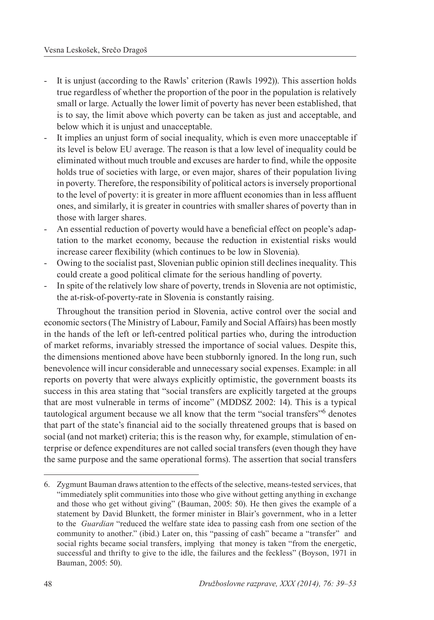- It is unjust (according to the Rawls' criterion (Rawls 1992)). This assertion holds true regardless of whether the proportion of the poor in the population is relatively small or large. Actually the lower limit of poverty has never been established, that is to say, the limit above which poverty can be taken as just and acceptable, and below which it is unjust and unacceptable.
- It implies an unjust form of social inequality, which is even more unacceptable if its level is below EU average. The reason is that a low level of inequality could be eliminated without much trouble and excuses are harder to find, while the opposite holds true of societies with large, or even major, shares of their population living in poverty. Therefore, the responsibility of political actors is inversely proportional to the level of poverty: it is greater in more affluent economies than in less affluent ones, and similarly, it is greater in countries with smaller shares of poverty than in those with larger shares.
- An essential reduction of poverty would have a beneficial effect on people's adaptation to the market economy, because the reduction in existential risks would increase career flexibility (which continues to be low in Slovenia).
- Owing to the socialist past, Slovenian public opinion still declines inequality. This could create a good political climate for the serious handling of poverty.
- In spite of the relatively low share of poverty, trends in Slovenia are not optimistic, the at-risk-of-poverty-rate in Slovenia is constantly raising.

Throughout the transition period in Slovenia, active control over the social and economic sectors (The Ministry of Labour, Family and Social Affairs) has been mostly in the hands of the left or left-centred political parties who, during the introduction of market reforms, invariably stressed the importance of social values. Despite this, the dimensions mentioned above have been stubbornly ignored. In the long run, such benevolence will incur considerable and unnecessary social expenses. Example: in all reports on poverty that were always explicitly optimistic, the government boasts its success in this area stating that "social transfers are explicitly targeted at the groups that are most vulnerable in terms of income" (MDDSZ 2002: 14). This is a typical tautological argument because we all know that the term "social transfers"6 denotes that part of the state's financial aid to the socially threatened groups that is based on social (and not market) criteria; this is the reason why, for example, stimulation of enterprise or defence expenditures are not called social transfers (even though they have the same purpose and the same operational forms). The assertion that social transfers

<sup>6.</sup> Zygmunt Bauman draws attention to the effects of the selective, means-tested services, that "immediately split communities into those who give without getting anything in exchange and those who get without giving" (Bauman, 2005: 50). He then gives the example of a statement by David Blunkett, the former minister in Blair's government, who in a letter to the *Guardian* "reduced the welfare state idea to passing cash from one section of the community to another." (ibid.) Later on, this "passing of cash" became a "transfer" and social rights became social transfers, implying that money is taken "from the energetic, successful and thrifty to give to the idle, the failures and the feckless" (Boyson, 1971 in Bauman, 2005: 50).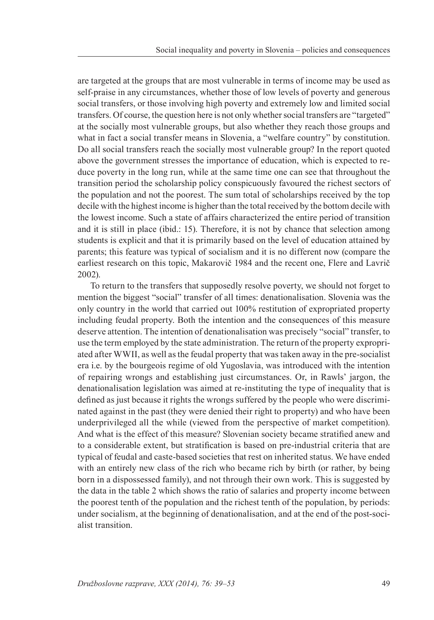are targeted at the groups that are most vulnerable in terms of income may be used as self-praise in any circumstances, whether those of low levels of poverty and generous social transfers, or those involving high poverty and extremely low and limited social transfers. Of course, the question here is not only whether social transfers are "targeted" at the socially most vulnerable groups, but also whether they reach those groups and what in fact a social transfer means in Slovenia, a "welfare country" by constitution. Do all social transfers reach the socially most vulnerable group? In the report quoted above the government stresses the importance of education, which is expected to reduce poverty in the long run, while at the same time one can see that throughout the transition period the scholarship policy conspicuously favoured the richest sectors of the population and not the poorest. The sum total of scholarships received by the top decile with the highest income is higher than the total received by the bottom decile with the lowest income. Such a state of affairs characterized the entire period of transition and it is still in place (ibid.: 15). Therefore, it is not by chance that selection among students is explicit and that it is primarily based on the level of education attained by parents; this feature was typical of socialism and it is no different now (compare the earliest research on this topic, Makarovič 1984 and the recent one, Flere and Lavrič 2002).

To return to the transfers that supposedly resolve poverty, we should not forget to mention the biggest "social" transfer of all times: denationalisation. Slovenia was the only country in the world that carried out 100% restitution of expropriated property including feudal property. Both the intention and the consequences of this measure deserve attention. The intention of denationalisation was precisely "social" transfer, to use the term employed by the state administration. The return of the property expropriated after WWII, as well as the feudal property that was taken away in the pre-socialist era i.e. by the bourgeois regime of old Yugoslavia, was introduced with the intention of repairing wrongs and establishing just circumstances. Or, in Rawls' jargon, the denationalisation legislation was aimed at re-instituting the type of inequality that is defined as just because it rights the wrongs suffered by the people who were discriminated against in the past (they were denied their right to property) and who have been underprivileged all the while (viewed from the perspective of market competition). And what is the effect of this measure? Slovenian society became stratified anew and to a considerable extent, but stratification is based on pre-industrial criteria that are typical of feudal and caste-based societies that rest on inherited status. We have ended with an entirely new class of the rich who became rich by birth (or rather, by being born in a dispossessed family), and not through their own work. This is suggested by the data in the table 2 which shows the ratio of salaries and property income between the poorest tenth of the population and the richest tenth of the population, by periods: under socialism, at the beginning of denationalisation, and at the end of the post-socialist transition.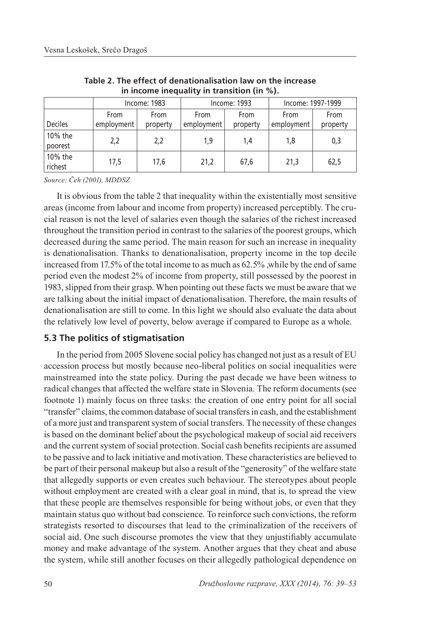|                    |            | Income: 1983 |            | Income: 1993 | Income: 1997-1999 |             |  |  |  |  |  |  |
|--------------------|------------|--------------|------------|--------------|-------------------|-------------|--|--|--|--|--|--|
|                    | From       | From         | From       | From         | From              | <b>From</b> |  |  |  |  |  |  |
| <b>Deciles</b>     | employment | property     | employment | property     | employment        | property    |  |  |  |  |  |  |
| 10% the<br>poorest | 2,2        | 2,2          | 1,9        | 1,4          | 1,8               | 0,3         |  |  |  |  |  |  |
| 10% the<br>richest | 17,5       | 17,6         | 21,2       | 67.6         | 21,3              | 62,5        |  |  |  |  |  |  |

**Table 2. The effect of denationalisation law on the increase in income inequality in transition (in %).**

*Source: Čeh (2001), MDDSZ*

It is obvious from the table 2 that inequality within the existentially most sensitive areas (income from labour and income from property) increased perceptibly. The crucial reason is not the level of salaries even though the salaries of the richest increased throughout the transition period in contrast to the salaries of the poorest groups, which decreased during the same period. The main reason for such an increase in inequality is denationalisation. Thanks to denationalisation, property income in the top decile increased from 17.5% of the total income to as much as 62.5% ,while by the end of same period even the modest 2% of income from property, still possessed by the poorest in 1983, slipped from their grasp. When pointing out these facts we must be aware that we are talking about the initial impact of denationalisation. Therefore, the main results of denationalisation are still to come. In this light we should also evaluate the data about the relatively low level of poverty, below average if compared to Europe as a whole.

### **5.3 The politics of stigmatisation**

In the period from 2005 Slovene social policy has changed not just as a result of EU accession process but mostly because neo-liberal politics on social inequalities were mainstreamed into the state policy. During the past decade we have been witness to radical changes that affected the welfare state in Slovenia. The reform documents (see footnote 1) mainly focus on three tasks: the creation of one entry point for all social "transfer" claims, the common database of social transfers in cash, and the establishment of a more just and transparent system of social transfers. The necessity of these changes is based on the dominant belief about the psychological makeup of social aid receivers and the current system of social protection. Social cash benefits recipients are assumed to be passive and to lack initiative and motivation. These characteristics are believed to be part of their personal makeup but also a result of the "generosity" of the welfare state that allegedly supports or even creates such behaviour. The stereotypes about people without employment are created with a clear goal in mind, that is, to spread the view that these people are themselves responsible for being without jobs, or even that they maintain status quo without bad conscience. To reinforce such convictions, the reform strategists resorted to discourses that lead to the criminalization of the receivers of social aid. One such discourse promotes the view that they unjustifiably accumulate money and make advantage of the system. Another argues that they cheat and abuse the system, while still another focuses on their allegedly pathological dependence on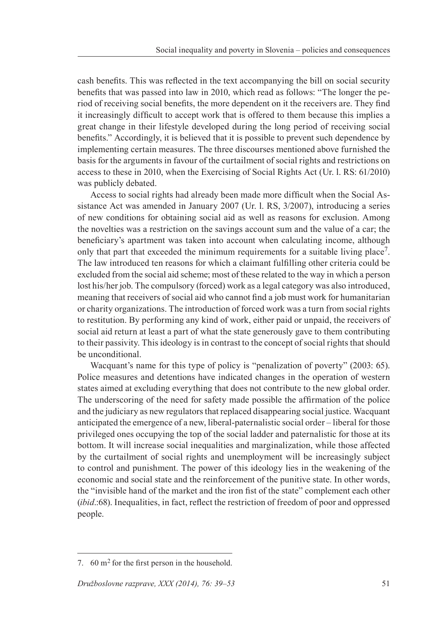cash benefits. This was reflected in the text accompanying the bill on social security benefits that was passed into law in 2010, which read as follows: "The longer the period of receiving social benefits, the more dependent on it the receivers are. They find it increasingly difficult to accept work that is offered to them because this implies a great change in their lifestyle developed during the long period of receiving social benefits." Accordingly, it is believed that it is possible to prevent such dependence by implementing certain measures. The three discourses mentioned above furnished the basis for the arguments in favour of the curtailment of social rights and restrictions on access to these in 2010, when the Exercising of Social Rights Act (Ur. l. RS: 61/2010) was publicly debated.

Access to social rights had already been made more difficult when the Social Assistance Act was amended in January 2007 (Ur. l. RS, 3/2007), introducing a series of new conditions for obtaining social aid as well as reasons for exclusion. Among the novelties was a restriction on the savings account sum and the value of a car; the beneficiary's apartment was taken into account when calculating income, although only that part that exceeded the minimum requirements for a suitable living place<sup>7</sup>. The law introduced ten reasons for which a claimant fulfilling other criteria could be excluded from the social aid scheme; most of these related to the way in which a person lost his/her job. The compulsory (forced) work as a legal category was also introduced, meaning that receivers of social aid who cannot find a job must work for humanitarian or charity organizations. The introduction of forced work was a turn from social rights to restitution. By performing any kind of work, either paid or unpaid, the receivers of social aid return at least a part of what the state generously gave to them contributing to their passivity. This ideology is in contrast to the concept of social rights that should be unconditional.

Wacquant's name for this type of policy is "penalization of poverty" (2003: 65). Police measures and detentions have indicated changes in the operation of western states aimed at excluding everything that does not contribute to the new global order. The underscoring of the need for safety made possible the affirmation of the police and the judiciary as new regulators that replaced disappearing social justice. Wacquant anticipated the emergence of a new, liberal-paternalistic social order – liberal for those privileged ones occupying the top of the social ladder and paternalistic for those at its bottom. It will increase social inequalities and marginalization, while those affected by the curtailment of social rights and unemployment will be increasingly subject to control and punishment. The power of this ideology lies in the weakening of the economic and social state and the reinforcement of the punitive state. In other words, the "invisible hand of the market and the iron fist of the state" complement each other (*ibid*.:68). Inequalities, in fact, reflect the restriction of freedom of poor and oppressed people.

<sup>7.</sup>  $60 \text{ m}^2$  for the first person in the household.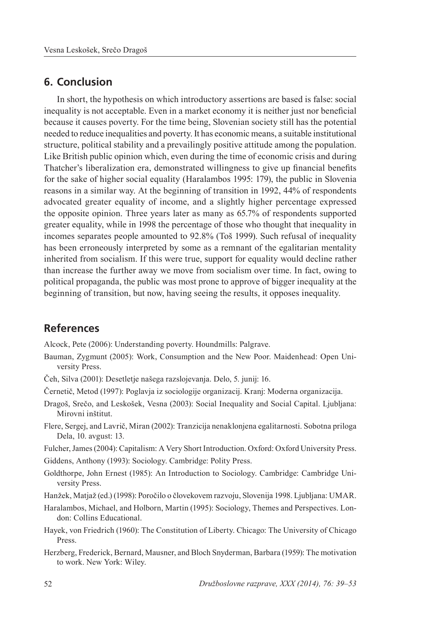## **6. Conclusion**

In short, the hypothesis on which introductory assertions are based is false: social inequality is not acceptable. Even in a market economy it is neither just nor beneficial because it causes poverty. For the time being, Slovenian society still has the potential needed to reduce inequalities and poverty. It has economic means, a suitable institutional structure, political stability and a prevailingly positive attitude among the population. Like British public opinion which, even during the time of economic crisis and during Thatcher's liberalization era, demonstrated willingness to give up financial benefits for the sake of higher social equality (Haralambos 1995: 179), the public in Slovenia reasons in a similar way. At the beginning of transition in 1992, 44% of respondents advocated greater equality of income, and a slightly higher percentage expressed the opposite opinion. Three years later as many as 65.7% of respondents supported greater equality, while in 1998 the percentage of those who thought that inequality in incomes separates people amounted to 92.8% (Toš 1999). Such refusal of inequality has been erroneously interpreted by some as a remnant of the egalitarian mentality inherited from socialism. If this were true, support for equality would decline rather than increase the further away we move from socialism over time. In fact, owing to political propaganda, the public was most prone to approve of bigger inequality at the beginning of transition, but now, having seeing the results, it opposes inequality.

## **References**

Alcock, Pete (2006): Understanding poverty. Houndmills: Palgrave.

- Bauman, Zygmunt (2005): Work, Consumption and the New Poor. Maidenhead: Open University Press.
- Čeh, Silva (2001): Desetletje našega razslojevanja. Delo, 5. junij: 16.
- Černetič, Metod (1997): Poglavja iz sociologije organizacij. Kranj: Moderna organizacija.
- Dragoš, Srečo, and Leskošek, Vesna (2003): Social Inequality and Social Capital. Ljubljana: Mirovni inštitut.
- Flere, Sergej, and Lavrič, Miran (2002): Tranzicija nenaklonjena egalitarnosti. Sobotna priloga Dela, 10. avgust: 13.

Fulcher, James (2004): Capitalism: A Very Short Introduction. Oxford: Oxford University Press. Giddens, Anthony (1993): Sociology. Cambridge: Polity Press.

Goldthorpe, John Ernest (1985): An Introduction to Sociology. Cambridge: Cambridge University Press.

Hanžek, Matjaž (ed.) (1998): Poročilo o človekovem razvoju, Slovenija 1998. Ljubljana: UMAR.

- Haralambos, Michael, and Holborn, Martin (1995): Sociology, Themes and Perspectives. London: Collins Educational.
- Hayek, von Friedrich (1960): The Constitution of Liberty. Chicago: The University of Chicago Press.
- Herzberg, Frederick, Bernard, Mausner, and Bloch Snyderman, Barbara (1959): The motivation to work. New York: Wiley.